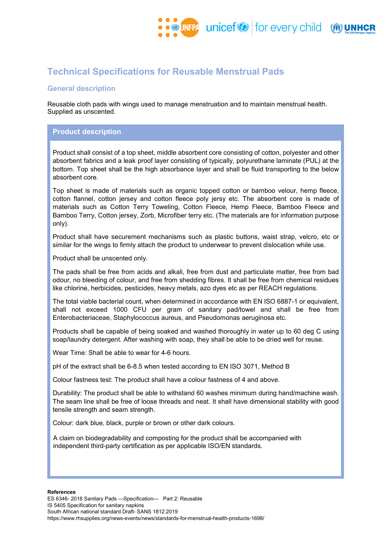

# **Technical Specifications for Reusable Menstrual Pads**

# **General description**

Reusable cloth pads with wings used to manage menstruation and to maintain menstrual health. Supplied as unscented.

## **Product description**

Product shall consist of a top sheet, middle absorbent core consisting of cotton, polyester and other absorbent fabrics and a leak proof layer consisting of typically, polyurethane laminate (PUL) at the bottom. Top sheet shall be the high absorbance layer and shall be fluid transporting to the below absorbent core.

Top sheet is made of materials such as organic topped cotton or bamboo velour, hemp fleece, cotton flannel, cotton jersey and cotton fleece poly jersy etc. The absorbent core is made of materials such as Cotton Terry Toweling, Cotton Fleece, Hemp Fleece, Bamboo Fleece and Bamboo Terry, Cotton jersey, Zorb, Microfiber terry etc. (The materials are for information purpose only).

Product shall have securement mechanisms such as plastic buttons, waist strap, velcro, etc or similar for the wings to firmly attach the product to underwear to prevent dislocation while use.

Product shall be unscented only.

The pads shall be free from acids and alkali, free from dust and particulate matter, free from bad odour, no bleeding of colour, and free from shedding fibres. It shall be free from chemical residues like chlorine, herbicides, pesticides, heavy metals, azo dyes etc as per REACH regulations.

The total viable bacterial count, when determined in accordance with EN ISO 6887-1 or equivalent, shall not exceed 1000 CFU per gram of sanitary pad/towel and shall be free from Enterobacteriaceae, Staphylococcus aureus, and Pseudomonas aeruginosa etc.

Products shall be capable of being soaked and washed thoroughly in water up to 60 deg C using soap/laundry detergent. After washing with soap, they shall be able to be dried well for reuse.

Wear Time: Shall be able to wear for 4-6 hours.

pH of the extract shall be 6-8.5 when tested according to EN ISO 3071, Method B

Colour fastness test: The product shall have a colour fastness of 4 and above.

Durability: The product shall be able to withstand 60 washes minimum during hand/machine wash. The seam line shall be free of loose threads and neat. It shall have dimensional stability with good tensile strength and seam strength.

Colour: dark blue, black, purple or brown or other dark colours.

A claim on biodegradability and composting for the product shall be accompanied with independent third-party certification as per applicable ISO/EN standards.

#### **References**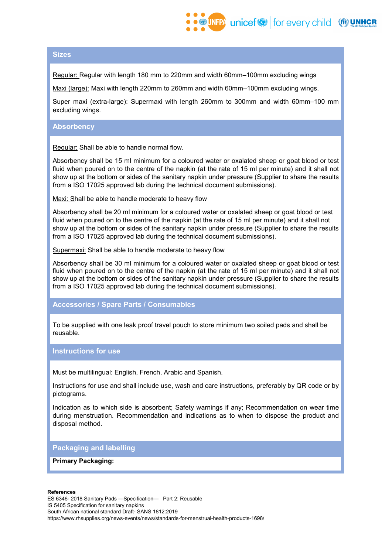# **Sizes**

Regular: Regular with length 180 mm to 220mm and width 60mm–100mm excluding wings

Maxi (large): Maxi with length 220mm to 260mm and width 60mm–100mm excluding wings.

Super maxi (extra-large): Supermaxi with length 260mm to 300mm and width 60mm–100 mm excluding wings.

### **Absorbency**

Regular: Shall be able to handle normal flow.

Absorbency shall be 15 ml minimum for a coloured water or oxalated sheep or goat blood or test fluid when poured on to the centre of the napkin (at the rate of 15 ml per minute) and it shall not show up at the bottom or sides of the sanitary napkin under pressure (Supplier to share the results from a ISO 17025 approved lab during the technical document submissions).

Maxi: Shall be able to handle moderate to heavy flow

Absorbency shall be 20 ml minimum for a coloured water or oxalated sheep or goat blood or test fluid when poured on to the centre of the napkin (at the rate of 15 ml per minute) and it shall not show up at the bottom or sides of the sanitary napkin under pressure (Supplier to share the results from a ISO 17025 approved lab during the technical document submissions).

Supermaxi: Shall be able to handle moderate to heavy flow

Absorbency shall be 30 ml minimum for a coloured water or oxalated sheep or goat blood or test fluid when poured on to the centre of the napkin (at the rate of 15 ml per minute) and it shall not show up at the bottom or sides of the sanitary napkin under pressure (Supplier to share the results from a ISO 17025 approved lab during the technical document submissions).

### **Accessories / Spare Parts / Consumables**

To be supplied with one leak proof travel pouch to store minimum two soiled pads and shall be reusable.

### **Instructions for use**

Must be multilingual: English, French, Arabic and Spanish.

Instructions for use and shall include use, wash and care instructions, preferably by QR code or by pictograms.

Indication as to which side is absorbent; Safety warnings if any; Recommendation on wear time during menstruation. Recommendation and indications as to when to dispose the product and disposal method.

# **Packaging and labelling**

### **Primary Packaging:**

#### **References**

ES 6346- 2018 Sanitary Pads —Specification— Part 2: Reusable IS 5405 Specification for sanitary napkins South African national standard Draft- SANS 1812:2019 https://www.rhsupplies.org/news-events/news/standards-for-menstrual-health-products-1698/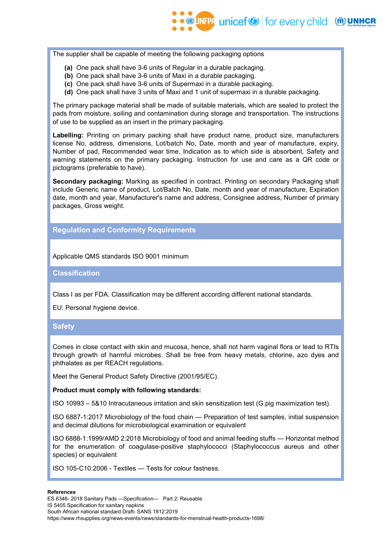The supplier shall be capable of meeting the following packaging options

- **(a)** One pack shall have 3-6 units of Regular in a durable packaging.
- **(b)** One pack shall have 3-6 units of Maxi in a durable packaging.
- **(c)** One pack shall have 3-6 units of Supermaxi in a durable packaging.
- **(d)** One pack shall have 3 units of Maxi and 1 unit of supermaxi in a durable packaging.

The primary package material shall be made of suitable materials, which are sealed to protect the pads from moisture, soiling and contamination during storage and transportation. The instructions of use to be supplied as an insert in the primary packaging.

**Labelling:** Printing on primary packing shall have product name, product size, manufacturers license No, address, dimensions, Lot/batch No, Date, month and year of manufacture, expiry, Number of pad, Recommended wear time, Indication as to which side is absorbent, Safety and warning statements on the primary packaging. Instruction for use and care as a QR code or pictograms (preferable to have).

**Secondary packaging:** Marking as specified in contract. Printing on secondary Packaging shall include Generic name of product, Lot/Batch No, Date, month and year of manufacture, Expiration date, month and year, Manufacturer's name and address, Consignee address, Number of primary packages, Gross weight.

## **Regulation and Conformity Requirements**

Applicable QMS standards ISO 9001 minimum

**Classification**

Class I as per FDA. Classification may be different according different national standards.

EU: Personal hygiene device.

### **Safety**

Comes in close contact with skin and mucosa, hence, shall not harm vaginal flora or lead to RTIs through growth of harmful microbes. Shall be free from heavy metals, chlorine, azo dyes and phthalates as per REACH regulations.

Meet the General Product Safety Directive (2001/95/EC).

### **Product must comply with following standards:**

ISO 10993 – 5&10 Intracutaneous irritation and skin sensitization test (G.pig maximization test).

ISO 6887-1:2017 Microbiology of the food chain — Preparation of test samples, initial suspension and decimal dilutions for microbiological examination or equivalent

ISO 6888-1:1999/AMD 2:2018 Microbiology of food and animal feeding stuffs — Horizontal method for the enumeration of coagulase-positive staphylococci (Staphylococcus aureus and other species) or equivalent

ISO 105-C10:2006 - Textiles — Tests for colour fastness.

#### **References**